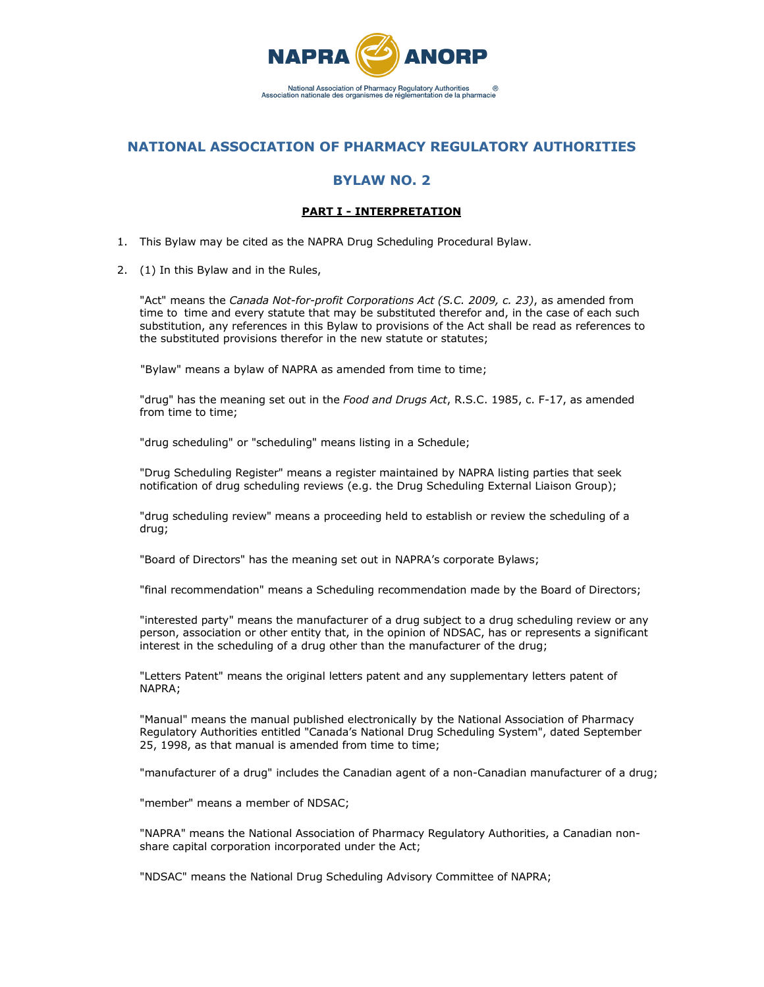

# **NATIONAL ASSOCIATION OF PHARMACY REGULATORY AUTHORITIES**

## **BYLAW NO. 2**

### **PART I - INTERPRETATION**

- 1. This Bylaw may be cited as the NAPRA Drug Scheduling Procedural Bylaw.
- 2. (1) In this Bylaw and in the Rules,

"Act" means the *Canada Not-for-profit Corporations Act (S.C. 2009, c. 23)*, as amended from time to time and every statute that may be substituted therefor and, in the case of each such substitution, any references in this Bylaw to provisions of the Act shall be read as references to the substituted provisions therefor in the new statute or statutes;

"Bylaw" means a bylaw of NAPRA as amended from time to time;

"drug" has the meaning set out in the *Food and Drugs Act*, R.S.C. 1985, c. F-17, as amended from time to time;

"drug scheduling" or "scheduling" means listing in a Schedule;

"Drug Scheduling Register" means a register maintained by NAPRA listing parties that seek notification of drug scheduling reviews (e.g. the Drug Scheduling External Liaison Group);

"drug scheduling review" means a proceeding held to establish or review the scheduling of a drug;

"Board of Directors" has the meaning set out in NAPRA's corporate Bylaws;

"final recommendation" means a Scheduling recommendation made by the Board of Directors;

"interested party" means the manufacturer of a drug subject to a drug scheduling review or any person, association or other entity that, in the opinion of NDSAC, has or represents a significant interest in the scheduling of a drug other than the manufacturer of the drug;

"Letters Patent" means the original letters patent and any supplementary letters patent of NAPRA;

"Manual" means the manual published electronically by the National Association of Pharmacy Regulatory Authorities entitled "Canada's National Drug Scheduling System", dated September 25, 1998, as that manual is amended from time to time;

"manufacturer of a drug" includes the Canadian agent of a non-Canadian manufacturer of a drug;

"member" means a member of NDSAC;

"NAPRA" means the National Association of Pharmacy Regulatory Authorities, a Canadian nonshare capital corporation incorporated under the Act;

"NDSAC" means the National Drug Scheduling Advisory Committee of NAPRA;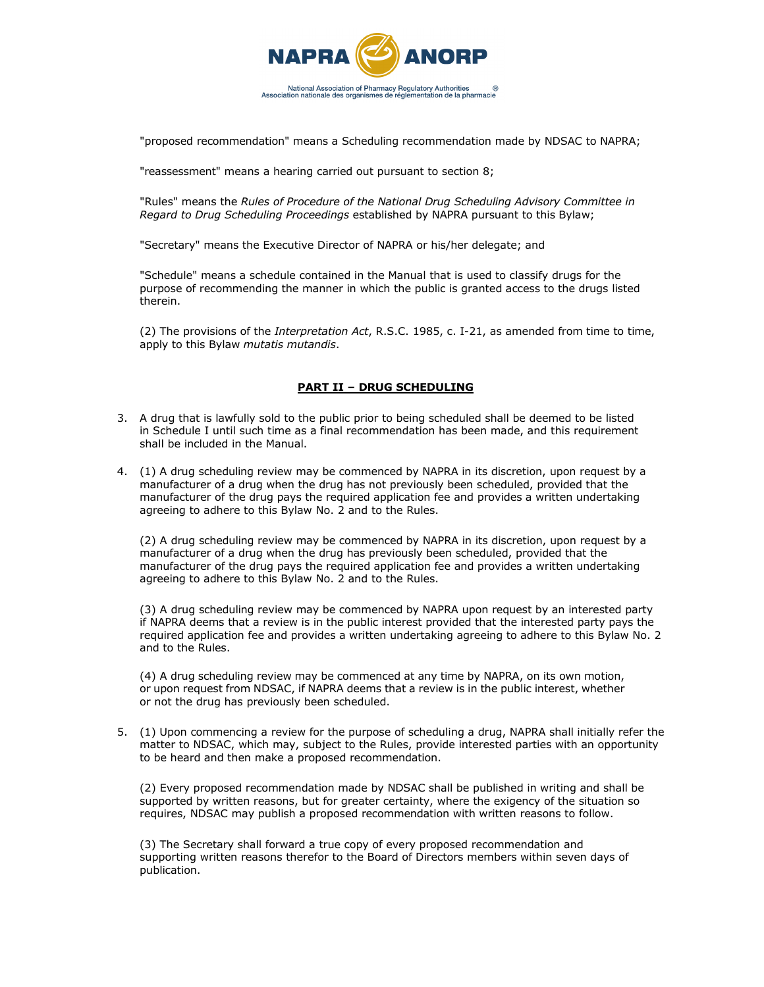

"proposed recommendation" means a Scheduling recommendation made by NDSAC to NAPRA;

"reassessment" means a hearing carried out pursuant to section 8;

"Rules" means the *Rules of Procedure of the National Drug Scheduling Advisory Committee in Regard to Drug Scheduling Proceedings* established by NAPRA pursuant to this Bylaw;

"Secretary" means the Executive Director of NAPRA or his/her delegate; and

"Schedule" means a schedule contained in the Manual that is used to classify drugs for the purpose of recommending the manner in which the public is granted access to the drugs listed therein.

(2) The provisions of the *Interpretation Act*, R.S.C. 1985, c. I-21, as amended from time to time, apply to this Bylaw *mutatis mutandis*.

#### **PART II – DRUG SCHEDULING**

- 3. A drug that is lawfully sold to the public prior to being scheduled shall be deemed to be listed in Schedule I until such time as a final recommendation has been made, and this requirement shall be included in the Manual.
- 4. (1) A drug scheduling review may be commenced by NAPRA in its discretion, upon request by a manufacturer of a drug when the drug has not previously been scheduled, provided that the manufacturer of the drug pays the required application fee and provides a written undertaking agreeing to adhere to this Bylaw No. 2 and to the Rules.

(2) A drug scheduling review may be commenced by NAPRA in its discretion, upon request by a manufacturer of a drug when the drug has previously been scheduled, provided that the manufacturer of the drug pays the required application fee and provides a written undertaking agreeing to adhere to this Bylaw No. 2 and to the Rules.

(3) A drug scheduling review may be commenced by NAPRA upon request by an interested party if NAPRA deems that a review is in the public interest provided that the interested party pays the required application fee and provides a written undertaking agreeing to adhere to this Bylaw No. 2 and to the Rules.

(4) A drug scheduling review may be commenced at any time by NAPRA, on its own motion, or upon request from NDSAC, if NAPRA deems that a review is in the public interest, whether or not the drug has previously been scheduled.

5. (1) Upon commencing a review for the purpose of scheduling a drug, NAPRA shall initially refer the matter to NDSAC, which may, subject to the Rules, provide interested parties with an opportunity to be heard and then make a proposed recommendation.

(2) Every proposed recommendation made by NDSAC shall be published in writing and shall be supported by written reasons, but for greater certainty, where the exigency of the situation so requires, NDSAC may publish a proposed recommendation with written reasons to follow.

(3) The Secretary shall forward a true copy of every proposed recommendation and supporting written reasons therefor to the Board of Directors members within seven days of publication.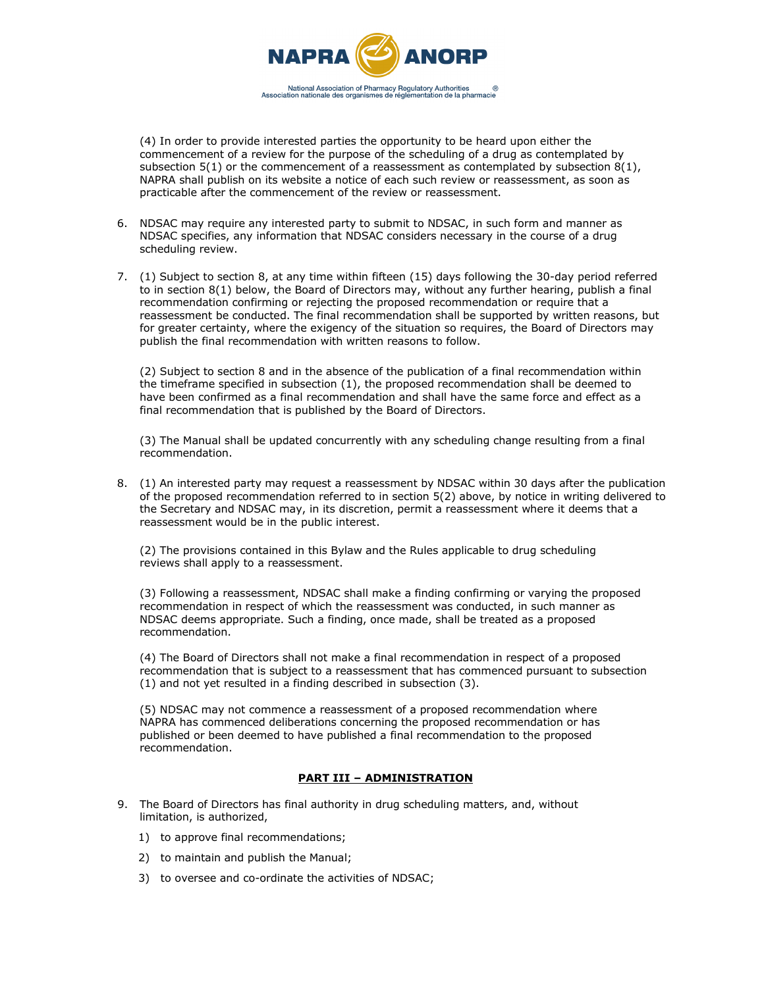

(4) In order to provide interested parties the opportunity to be heard upon either the commencement of a review for the purpose of the scheduling of a drug as contemplated by subsection  $5(1)$  or the commencement of a reassessment as contemplated by subsection  $8(1)$ , NAPRA shall publish on its website a notice of each such review or reassessment, as soon as practicable after the commencement of the review or reassessment.

- 6. NDSAC may require any interested party to submit to NDSAC, in such form and manner as NDSAC specifies, any information that NDSAC considers necessary in the course of a drug scheduling review.
- 7. (1) Subject to section 8, at any time within fifteen (15) days following the 30-day period referred to in section 8(1) below, the Board of Directors may, without any further hearing, publish a final recommendation confirming or rejecting the proposed recommendation or require that a reassessment be conducted. The final recommendation shall be supported by written reasons, but for greater certainty, where the exigency of the situation so requires, the Board of Directors may publish the final recommendation with written reasons to follow.

(2) Subject to section 8 and in the absence of the publication of a final recommendation within the timeframe specified in subsection (1), the proposed recommendation shall be deemed to have been confirmed as a final recommendation and shall have the same force and effect as a final recommendation that is published by the Board of Directors.

(3) The Manual shall be updated concurrently with any scheduling change resulting from a final recommendation.

8. (1) An interested party may request a reassessment by NDSAC within 30 days after the publication of the proposed recommendation referred to in section 5(2) above, by notice in writing delivered to the Secretary and NDSAC may, in its discretion, permit a reassessment where it deems that a reassessment would be in the public interest.

(2) The provisions contained in this Bylaw and the Rules applicable to drug scheduling reviews shall apply to a reassessment.

(3) Following a reassessment, NDSAC shall make a finding confirming or varying the proposed recommendation in respect of which the reassessment was conducted, in such manner as NDSAC deems appropriate. Such a finding, once made, shall be treated as a proposed recommendation.

(4) The Board of Directors shall not make a final recommendation in respect of a proposed recommendation that is subject to a reassessment that has commenced pursuant to subsection (1) and not yet resulted in a finding described in subsection (3).

(5) NDSAC may not commence a reassessment of a proposed recommendation where NAPRA has commenced deliberations concerning the proposed recommendation or has published or been deemed to have published a final recommendation to the proposed recommendation.

#### **PART III – ADMINISTRATION**

- 9. The Board of Directors has final authority in drug scheduling matters, and, without limitation, is authorized,
	- 1) to approve final recommendations;
	- 2) to maintain and publish the Manual;
	- 3) to oversee and co-ordinate the activities of NDSAC;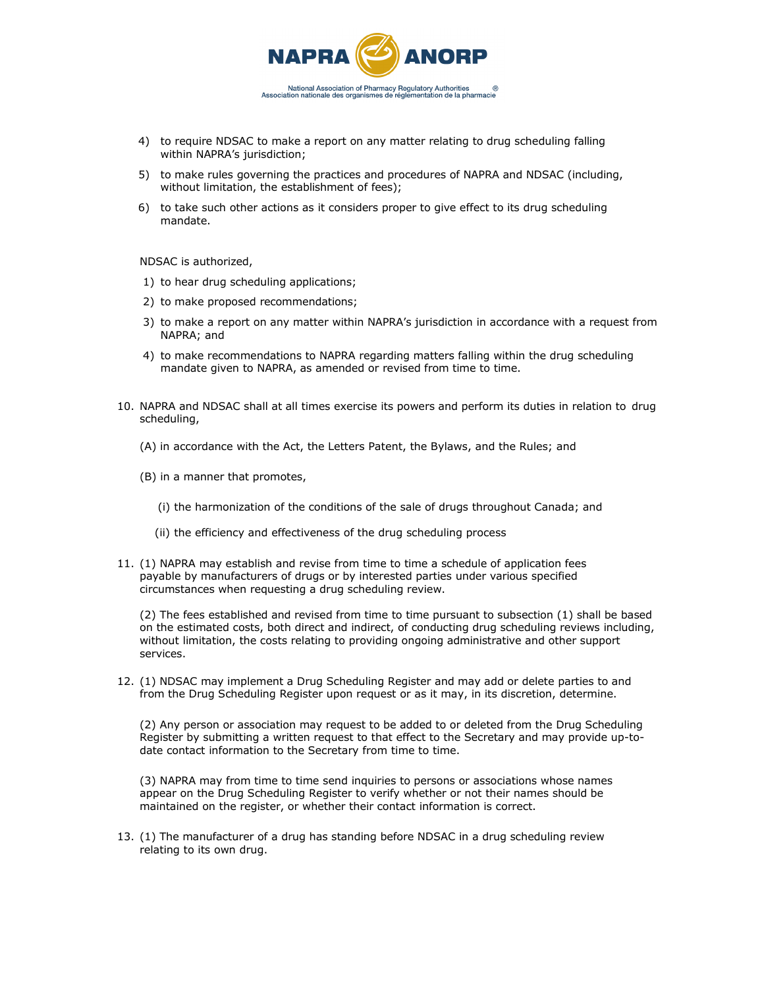

- 4) to require NDSAC to make a report on any matter relating to drug scheduling falling within NAPRA's jurisdiction;
- 5) to make rules governing the practices and procedures of NAPRA and NDSAC (including, without limitation, the establishment of fees);
- 6) to take such other actions as it considers proper to give effect to its drug scheduling mandate.

NDSAC is authorized,

- 1) to hear drug scheduling applications;
- 2) to make proposed recommendations;
- 3) to make a report on any matter within NAPRA's jurisdiction in accordance with a request from NAPRA; and
- 4) to make recommendations to NAPRA regarding matters falling within the drug scheduling mandate given to NAPRA, as amended or revised from time to time.
- 10. NAPRA and NDSAC shall at all times exercise its powers and perform its duties in relation to drug scheduling,
	- (A) in accordance with the Act, the Letters Patent, the Bylaws, and the Rules; and
	- (B) in a manner that promotes,
		- (i) the harmonization of the conditions of the sale of drugs throughout Canada; and
		- (ii) the efficiency and effectiveness of the drug scheduling process
- 11. (1) NAPRA may establish and revise from time to time a schedule of application fees payable by manufacturers of drugs or by interested parties under various specified circumstances when requesting a drug scheduling review.

(2) The fees established and revised from time to time pursuant to subsection (1) shall be based on the estimated costs, both direct and indirect, of conducting drug scheduling reviews including, without limitation, the costs relating to providing ongoing administrative and other support services.

12. (1) NDSAC may implement a Drug Scheduling Register and may add or delete parties to and from the Drug Scheduling Register upon request or as it may, in its discretion, determine.

(2) Any person or association may request to be added to or deleted from the Drug Scheduling Register by submitting a written request to that effect to the Secretary and may provide up-todate contact information to the Secretary from time to time.

(3) NAPRA may from time to time send inquiries to persons or associations whose names appear on the Drug Scheduling Register to verify whether or not their names should be maintained on the register, or whether their contact information is correct.

13. (1) The manufacturer of a drug has standing before NDSAC in a drug scheduling review relating to its own drug.